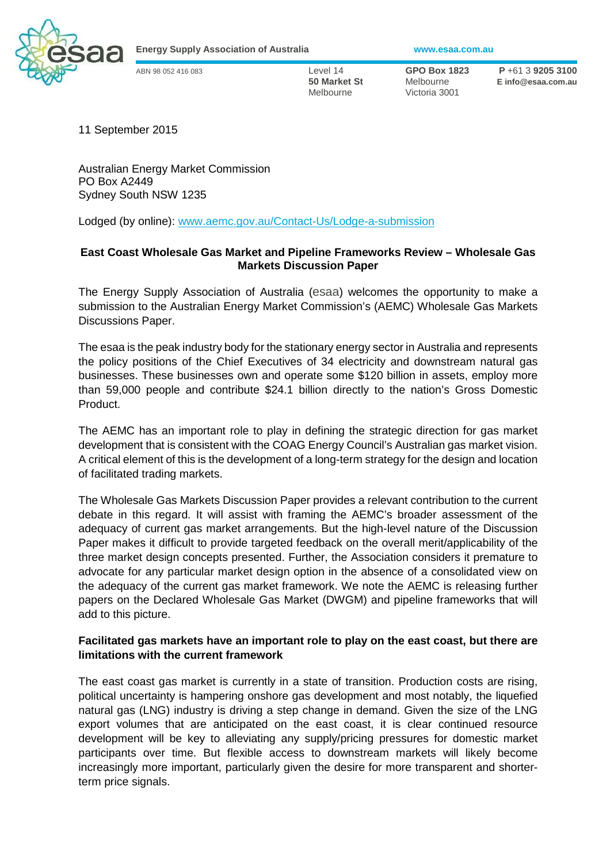

**Energy Supply Association of Australia www.esaa.com.au** 

Melbourne Victoria 3001

ABN 98 052 416 083 Level 14 **GPO Box 1823 P** +61 3 **9205 3100 50 Market St** Melbourne **E info@esaa.com.au** 

11 September 2015

Australian Energy Market Commission PO Box A2449 Sydney South NSW 1235

Lodged (by online): www.aemc.gov.au/Contact-Us/Lodge-a-submission

## **East Coast Wholesale Gas Market and Pipeline Frameworks Review – Wholesale Gas Markets Discussion Paper**

The Energy Supply Association of Australia (esaa) welcomes the opportunity to make a submission to the Australian Energy Market Commission's (AEMC) Wholesale Gas Markets Discussions Paper.

The esaa is the peak industry body for the stationary energy sector in Australia and represents the policy positions of the Chief Executives of 34 electricity and downstream natural gas businesses. These businesses own and operate some \$120 billion in assets, employ more than 59,000 people and contribute \$24.1 billion directly to the nation's Gross Domestic Product.

The AEMC has an important role to play in defining the strategic direction for gas market development that is consistent with the COAG Energy Council's Australian gas market vision. A critical element of this is the development of a long-term strategy for the design and location of facilitated trading markets.

The Wholesale Gas Markets Discussion Paper provides a relevant contribution to the current debate in this regard. It will assist with framing the AEMC's broader assessment of the adequacy of current gas market arrangements. But the high-level nature of the Discussion Paper makes it difficult to provide targeted feedback on the overall merit/applicability of the three market design concepts presented. Further, the Association considers it premature to advocate for any particular market design option in the absence of a consolidated view on the adequacy of the current gas market framework. We note the AEMC is releasing further papers on the Declared Wholesale Gas Market (DWGM) and pipeline frameworks that will add to this picture.

## **Facilitated gas markets have an important role to play on the east coast, but there are limitations with the current framework**

The east coast gas market is currently in a state of transition. Production costs are rising, political uncertainty is hampering onshore gas development and most notably, the liquefied natural gas (LNG) industry is driving a step change in demand. Given the size of the LNG export volumes that are anticipated on the east coast, it is clear continued resource development will be key to alleviating any supply/pricing pressures for domestic market participants over time. But flexible access to downstream markets will likely become increasingly more important, particularly given the desire for more transparent and shorterterm price signals.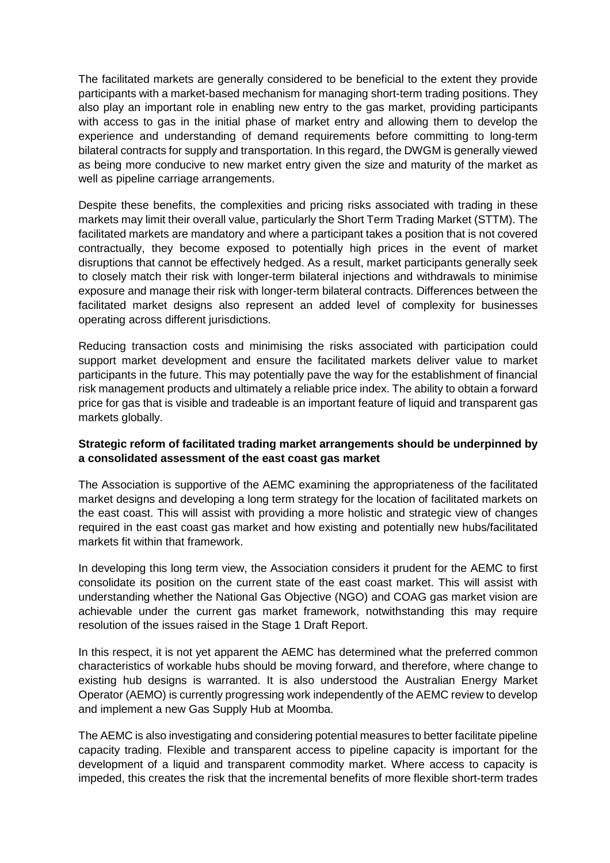The facilitated markets are generally considered to be beneficial to the extent they provide participants with a market-based mechanism for managing short-term trading positions. They also play an important role in enabling new entry to the gas market, providing participants with access to gas in the initial phase of market entry and allowing them to develop the experience and understanding of demand requirements before committing to long-term bilateral contracts for supply and transportation. In this regard, the DWGM is generally viewed as being more conducive to new market entry given the size and maturity of the market as well as pipeline carriage arrangements.

Despite these benefits, the complexities and pricing risks associated with trading in these markets may limit their overall value, particularly the Short Term Trading Market (STTM). The facilitated markets are mandatory and where a participant takes a position that is not covered contractually, they become exposed to potentially high prices in the event of market disruptions that cannot be effectively hedged. As a result, market participants generally seek to closely match their risk with longer-term bilateral injections and withdrawals to minimise exposure and manage their risk with longer-term bilateral contracts. Differences between the facilitated market designs also represent an added level of complexity for businesses operating across different jurisdictions.

Reducing transaction costs and minimising the risks associated with participation could support market development and ensure the facilitated markets deliver value to market participants in the future. This may potentially pave the way for the establishment of financial risk management products and ultimately a reliable price index. The ability to obtain a forward price for gas that is visible and tradeable is an important feature of liquid and transparent gas markets globally.

## **Strategic reform of facilitated trading market arrangements should be underpinned by a consolidated assessment of the east coast gas market**

The Association is supportive of the AEMC examining the appropriateness of the facilitated market designs and developing a long term strategy for the location of facilitated markets on the east coast. This will assist with providing a more holistic and strategic view of changes required in the east coast gas market and how existing and potentially new hubs/facilitated markets fit within that framework.

In developing this long term view, the Association considers it prudent for the AEMC to first consolidate its position on the current state of the east coast market. This will assist with understanding whether the National Gas Objective (NGO) and COAG gas market vision are achievable under the current gas market framework, notwithstanding this may require resolution of the issues raised in the Stage 1 Draft Report.

In this respect, it is not yet apparent the AEMC has determined what the preferred common characteristics of workable hubs should be moving forward, and therefore, where change to existing hub designs is warranted. It is also understood the Australian Energy Market Operator (AEMO) is currently progressing work independently of the AEMC review to develop and implement a new Gas Supply Hub at Moomba.

The AEMC is also investigating and considering potential measures to better facilitate pipeline capacity trading. Flexible and transparent access to pipeline capacity is important for the development of a liquid and transparent commodity market. Where access to capacity is impeded, this creates the risk that the incremental benefits of more flexible short-term trades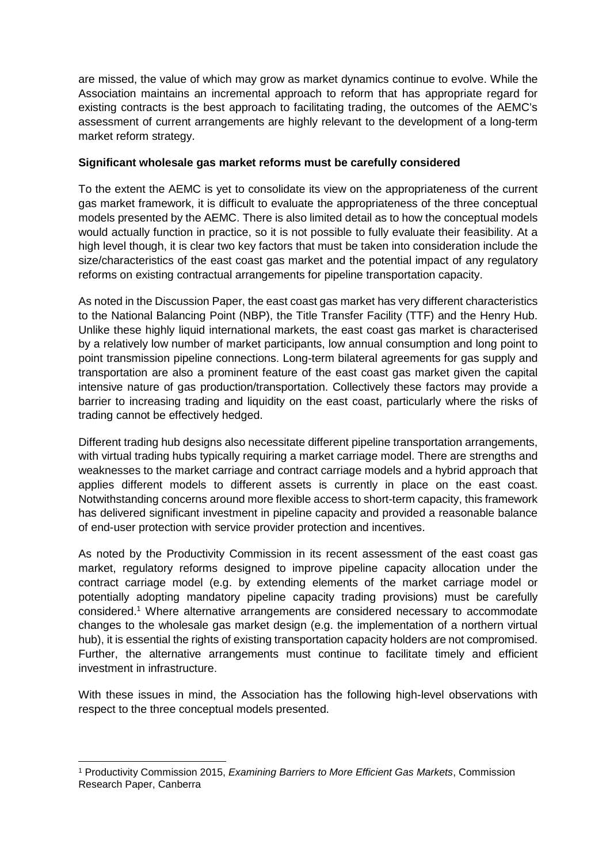are missed, the value of which may grow as market dynamics continue to evolve. While the Association maintains an incremental approach to reform that has appropriate regard for existing contracts is the best approach to facilitating trading, the outcomes of the AEMC's assessment of current arrangements are highly relevant to the development of a long-term market reform strategy.

## **Significant wholesale gas market reforms must be carefully considered**

To the extent the AEMC is yet to consolidate its view on the appropriateness of the current gas market framework, it is difficult to evaluate the appropriateness of the three conceptual models presented by the AEMC. There is also limited detail as to how the conceptual models would actually function in practice, so it is not possible to fully evaluate their feasibility. At a high level though, it is clear two key factors that must be taken into consideration include the size/characteristics of the east coast gas market and the potential impact of any regulatory reforms on existing contractual arrangements for pipeline transportation capacity.

As noted in the Discussion Paper, the east coast gas market has very different characteristics to the National Balancing Point (NBP), the Title Transfer Facility (TTF) and the Henry Hub. Unlike these highly liquid international markets, the east coast gas market is characterised by a relatively low number of market participants, low annual consumption and long point to point transmission pipeline connections. Long-term bilateral agreements for gas supply and transportation are also a prominent feature of the east coast gas market given the capital intensive nature of gas production/transportation. Collectively these factors may provide a barrier to increasing trading and liquidity on the east coast, particularly where the risks of trading cannot be effectively hedged.

Different trading hub designs also necessitate different pipeline transportation arrangements, with virtual trading hubs typically requiring a market carriage model. There are strengths and weaknesses to the market carriage and contract carriage models and a hybrid approach that applies different models to different assets is currently in place on the east coast. Notwithstanding concerns around more flexible access to short-term capacity, this framework has delivered significant investment in pipeline capacity and provided a reasonable balance of end-user protection with service provider protection and incentives.

As noted by the Productivity Commission in its recent assessment of the east coast gas market, regulatory reforms designed to improve pipeline capacity allocation under the contract carriage model (e.g. by extending elements of the market carriage model or potentially adopting mandatory pipeline capacity trading provisions) must be carefully considered.<sup>1</sup> Where alternative arrangements are considered necessary to accommodate changes to the wholesale gas market design (e.g. the implementation of a northern virtual hub), it is essential the rights of existing transportation capacity holders are not compromised. Further, the alternative arrangements must continue to facilitate timely and efficient investment in infrastructure.

With these issues in mind, the Association has the following high-level observations with respect to the three conceptual models presented.

 $\overline{a}$ <sup>1</sup> Productivity Commission 2015, *Examining Barriers to More Efficient Gas Markets*, Commission Research Paper, Canberra